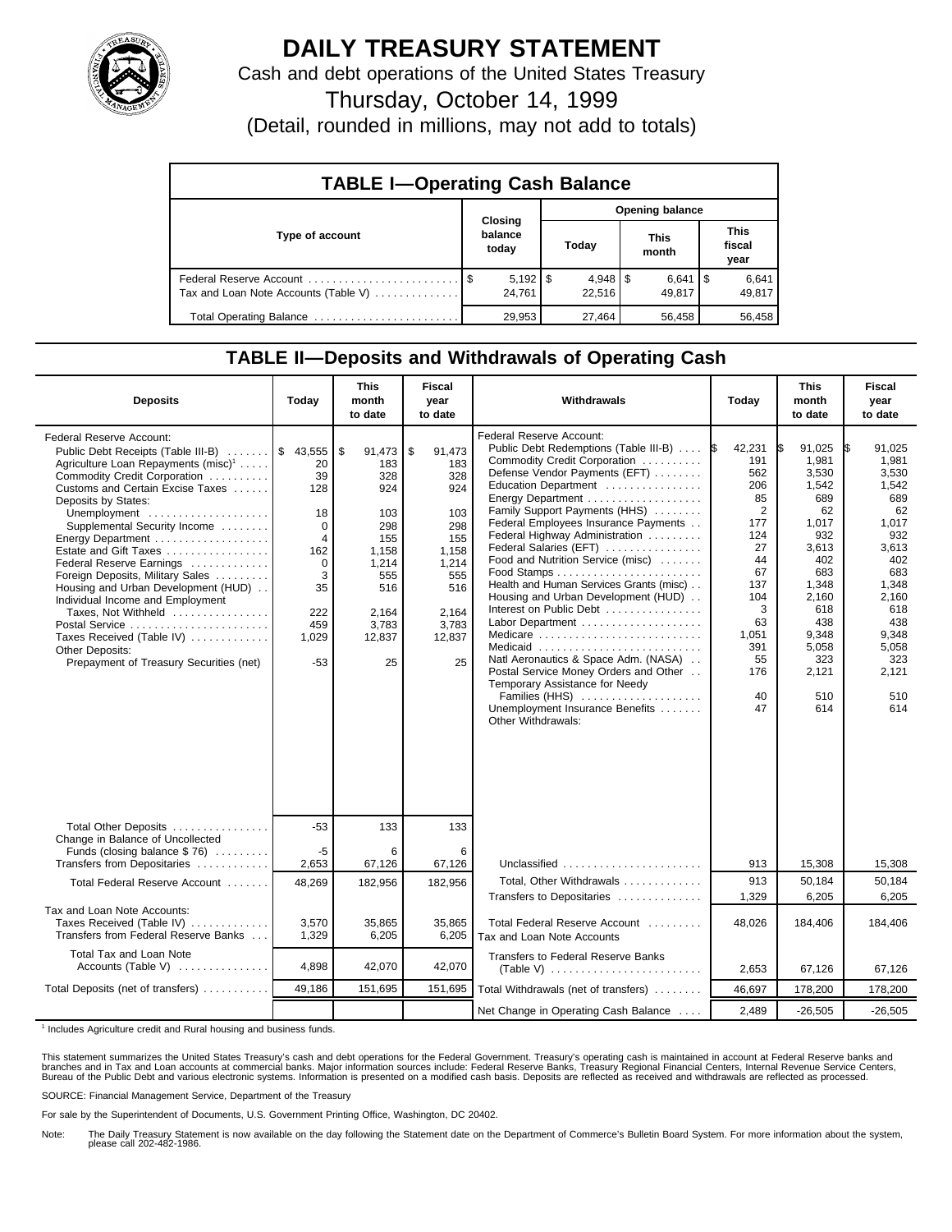

## **DAILY TREASURY STATEMENT**

Cash and debt operations of the United States Treasury

Thursday, October 14, 1999

(Detail, rounded in millions, may not add to totals)

| <b>TABLE I-Operating Cash Balance</b> |                             |                        |                      |                               |  |  |  |  |
|---------------------------------------|-----------------------------|------------------------|----------------------|-------------------------------|--|--|--|--|
|                                       |                             | <b>Opening balance</b> |                      |                               |  |  |  |  |
| Type of account                       | Closing<br>balance<br>today | Today                  | <b>This</b><br>month | <b>This</b><br>fiscal<br>year |  |  |  |  |
| Tax and Loan Note Accounts (Table V)  | $5,192$   \$<br>24.761      | 22.516                 | $6,641$ S<br>49.817  | 6,641<br>49,817               |  |  |  |  |
| Total Operating Balance               | 29,953                      | 27,464                 | 56.458               | 56,458                        |  |  |  |  |

## **TABLE II—Deposits and Withdrawals of Operating Cash**

| <b>Deposits</b>                                                                                                                                                                                                                                                                                                                                                                                                                                                                                                                                                                           | Today                                                                                                                            | <b>This</b><br>month<br>to date                                                                                          | <b>Fiscal</b><br>year<br>to date                                                                                         | Withdrawals                                                                                                                                                                                                                                                                                                                                                                                                                                                                                                                                                                                                                                                                                                      | Today                                                                                                                                                 | <b>This</b><br>month<br>to date                                                                                                                                              | <b>Fiscal</b><br>year<br>to date                                                                                                                                             |
|-------------------------------------------------------------------------------------------------------------------------------------------------------------------------------------------------------------------------------------------------------------------------------------------------------------------------------------------------------------------------------------------------------------------------------------------------------------------------------------------------------------------------------------------------------------------------------------------|----------------------------------------------------------------------------------------------------------------------------------|--------------------------------------------------------------------------------------------------------------------------|--------------------------------------------------------------------------------------------------------------------------|------------------------------------------------------------------------------------------------------------------------------------------------------------------------------------------------------------------------------------------------------------------------------------------------------------------------------------------------------------------------------------------------------------------------------------------------------------------------------------------------------------------------------------------------------------------------------------------------------------------------------------------------------------------------------------------------------------------|-------------------------------------------------------------------------------------------------------------------------------------------------------|------------------------------------------------------------------------------------------------------------------------------------------------------------------------------|------------------------------------------------------------------------------------------------------------------------------------------------------------------------------|
| Federal Reserve Account:<br>Public Debt Receipts (Table III-B)<br>Agriculture Loan Repayments (misc) <sup>1</sup><br>Commodity Credit Corporation<br>Customs and Certain Excise Taxes<br>Deposits by States:<br>Unemployment<br>Supplemental Security Income<br>Energy Department<br>Estate and Gift Taxes<br>Federal Reserve Earnings<br>Foreign Deposits, Military Sales<br>Housing and Urban Development (HUD)<br>Individual Income and Employment<br>Taxes, Not Withheld<br>Postal Service<br>Taxes Received (Table IV)<br>Other Deposits:<br>Prepayment of Treasury Securities (net) | \$43,555<br>20<br>39<br>128<br>18<br>$\mathbf 0$<br>$\overline{4}$<br>162<br>$\Omega$<br>3<br>35<br>222<br>459<br>1,029<br>$-53$ | \$<br>91,473<br>183<br>328<br>924<br>103<br>298<br>155<br>1,158<br>1,214<br>555<br>516<br>2.164<br>3.783<br>12,837<br>25 | \$<br>91,473<br>183<br>328<br>924<br>103<br>298<br>155<br>1,158<br>1,214<br>555<br>516<br>2.164<br>3.783<br>12,837<br>25 | Federal Reserve Account:<br>Public Debt Redemptions (Table III-B)<br>Commodity Credit Corporation<br>Defense Vendor Payments (EFT)<br>Education Department<br>Energy Department<br>Family Support Payments (HHS)<br>Federal Employees Insurance Payments<br>Federal Highway Administration<br>Federal Salaries (EFT)<br>Food and Nutrition Service (misc)<br>Health and Human Services Grants (misc)<br>Housing and Urban Development (HUD)<br>Interest on Public Debt<br>Labor Department<br>Medicare<br>Medicaid<br>Natl Aeronautics & Space Adm. (NASA)<br>Postal Service Money Orders and Other<br>Temporary Assistance for Needy<br>Families (HHS)<br>Unemployment Insurance Benefits<br>Other Withdrawals: | 42,231<br>191<br>562<br>206<br>85<br>$\overline{2}$<br>177<br>124<br>27<br>44<br>67<br>137<br>104<br>3<br>63<br>1,051<br>391<br>55<br>176<br>40<br>47 | 91,025<br>I\$<br>1,981<br>3,530<br>1,542<br>689<br>62<br>1,017<br>932<br>3.613<br>402<br>683<br>1,348<br>2,160<br>618<br>438<br>9,348<br>5,058<br>323<br>2,121<br>510<br>614 | 91.025<br>I\$<br>1.981<br>3,530<br>1,542<br>689<br>62<br>1,017<br>932<br>3,613<br>402<br>683<br>1,348<br>2.160<br>618<br>438<br>9,348<br>5.058<br>323<br>2,121<br>510<br>614 |
| Total Other Deposits<br>Change in Balance of Uncollected                                                                                                                                                                                                                                                                                                                                                                                                                                                                                                                                  | $-53$                                                                                                                            | 133                                                                                                                      | 133                                                                                                                      |                                                                                                                                                                                                                                                                                                                                                                                                                                                                                                                                                                                                                                                                                                                  |                                                                                                                                                       |                                                                                                                                                                              |                                                                                                                                                                              |
| Funds (closing balance \$76)<br>Transfers from Depositaries                                                                                                                                                                                                                                                                                                                                                                                                                                                                                                                               | -5<br>2,653                                                                                                                      | 6<br>67,126                                                                                                              | 6<br>67,126                                                                                                              | Unclassified $\ldots \ldots \ldots \ldots \ldots \ldots$                                                                                                                                                                                                                                                                                                                                                                                                                                                                                                                                                                                                                                                         | 913                                                                                                                                                   | 15,308                                                                                                                                                                       | 15,308                                                                                                                                                                       |
| Total Federal Reserve Account                                                                                                                                                                                                                                                                                                                                                                                                                                                                                                                                                             | 48,269                                                                                                                           | 182,956                                                                                                                  | 182,956                                                                                                                  | Total, Other Withdrawals<br>Transfers to Depositaries                                                                                                                                                                                                                                                                                                                                                                                                                                                                                                                                                                                                                                                            | 913<br>1,329                                                                                                                                          | 50.184<br>6,205                                                                                                                                                              | 50.184<br>6.205                                                                                                                                                              |
| Tax and Loan Note Accounts:<br>Taxes Received (Table IV)<br>Transfers from Federal Reserve Banks                                                                                                                                                                                                                                                                                                                                                                                                                                                                                          | 3,570<br>1,329                                                                                                                   | 35,865<br>6,205                                                                                                          | 35,865<br>6,205                                                                                                          | Total Federal Reserve Account<br>Tax and Loan Note Accounts                                                                                                                                                                                                                                                                                                                                                                                                                                                                                                                                                                                                                                                      | 48,026                                                                                                                                                | 184,406                                                                                                                                                                      | 184,406                                                                                                                                                                      |
| Total Tax and Loan Note<br>Accounts (Table V) $\ldots$                                                                                                                                                                                                                                                                                                                                                                                                                                                                                                                                    | 4,898                                                                                                                            | 42,070                                                                                                                   | 42,070                                                                                                                   | <b>Transfers to Federal Reserve Banks</b>                                                                                                                                                                                                                                                                                                                                                                                                                                                                                                                                                                                                                                                                        | 2,653                                                                                                                                                 | 67,126                                                                                                                                                                       | 67,126                                                                                                                                                                       |
| Total Deposits (net of transfers)                                                                                                                                                                                                                                                                                                                                                                                                                                                                                                                                                         | 49,186                                                                                                                           | 151,695                                                                                                                  | 151,695                                                                                                                  | Total Withdrawals (net of transfers)                                                                                                                                                                                                                                                                                                                                                                                                                                                                                                                                                                                                                                                                             | 46,697                                                                                                                                                | 178,200                                                                                                                                                                      | 178,200                                                                                                                                                                      |
|                                                                                                                                                                                                                                                                                                                                                                                                                                                                                                                                                                                           |                                                                                                                                  |                                                                                                                          |                                                                                                                          | Net Change in Operating Cash Balance                                                                                                                                                                                                                                                                                                                                                                                                                                                                                                                                                                                                                                                                             | 2,489                                                                                                                                                 | $-26,505$                                                                                                                                                                    | $-26.505$                                                                                                                                                                    |

<sup>1</sup> Includes Agriculture credit and Rural housing and business funds.

This statement summarizes the United States Treasury's cash and debt operations for the Federal Government. Treasury's operating cash is maintained in account at Federal Reserve banks and<br>branches and in Tax and Loan accou

SOURCE: Financial Management Service, Department of the Treasury

For sale by the Superintendent of Documents, U.S. Government Printing Office, Washington, DC 20402.

Note: The Daily Treasury Statement is now available on the day following the Statement date on the Department of Commerce's Bulletin Board System. For more information about the system, please call 202-482-1986.